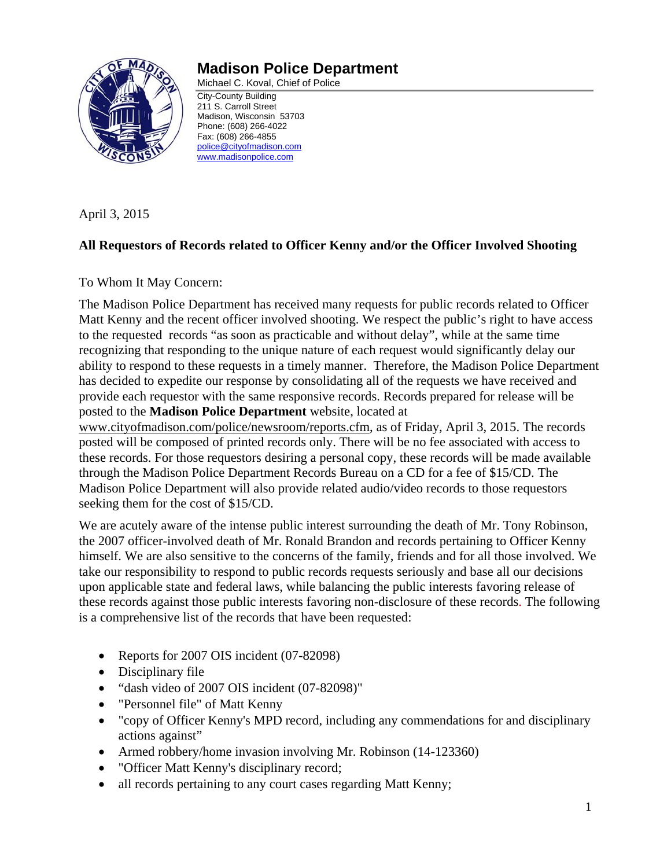

# **Madison Police Department**

Michael C. Koval, Chief of Police City-County Building

211 S. Carroll Street Madison, Wisconsin 53703 Phone: (608) 266-4022 Fax: (608) 266-4855 police@cityofmadison.com www.madisonpolice.com

April 3, 2015

# **All Requestors of Records related to Officer Kenny and/or the Officer Involved Shooting**

To Whom It May Concern:

The Madison Police Department has received many requests for public records related to Officer Matt Kenny and the recent officer involved shooting. We respect the public's right to have access to the requested records "as soon as practicable and without delay", while at the same time recognizing that responding to the unique nature of each request would significantly delay our ability to respond to these requests in a timely manner. Therefore, the Madison Police Department has decided to expedite our response by consolidating all of the requests we have received and provide each requestor with the same responsive records. Records prepared for release will be posted to the **Madison Police Department** website, located at

www.cityofmadison.com/police/newsroom/reports.cfm, as of Friday, April 3, 2015. The records posted will be composed of printed records only. There will be no fee associated with access to these records. For those requestors desiring a personal copy, these records will be made available through the Madison Police Department Records Bureau on a CD for a fee of \$15/CD. The Madison Police Department will also provide related audio/video records to those requestors seeking them for the cost of \$15/CD.

We are acutely aware of the intense public interest surrounding the death of Mr. Tony Robinson, the 2007 officer-involved death of Mr. Ronald Brandon and records pertaining to Officer Kenny himself. We are also sensitive to the concerns of the family, friends and for all those involved. We take our responsibility to respond to public records requests seriously and base all our decisions upon applicable state and federal laws, while balancing the public interests favoring release of these records against those public interests favoring non-disclosure of these records. The following is a comprehensive list of the records that have been requested:

- Reports for 2007 OIS incident (07-82098)
- Disciplinary file
- "dash video of 2007 OIS incident (07-82098)"
- "Personnel file" of Matt Kenny
- "copy of Officer Kenny's MPD record, including any commendations for and disciplinary actions against"
- Armed robbery/home invasion involving Mr. Robinson (14-123360)
- "Officer Matt Kenny's disciplinary record;
- all records pertaining to any court cases regarding Matt Kenny;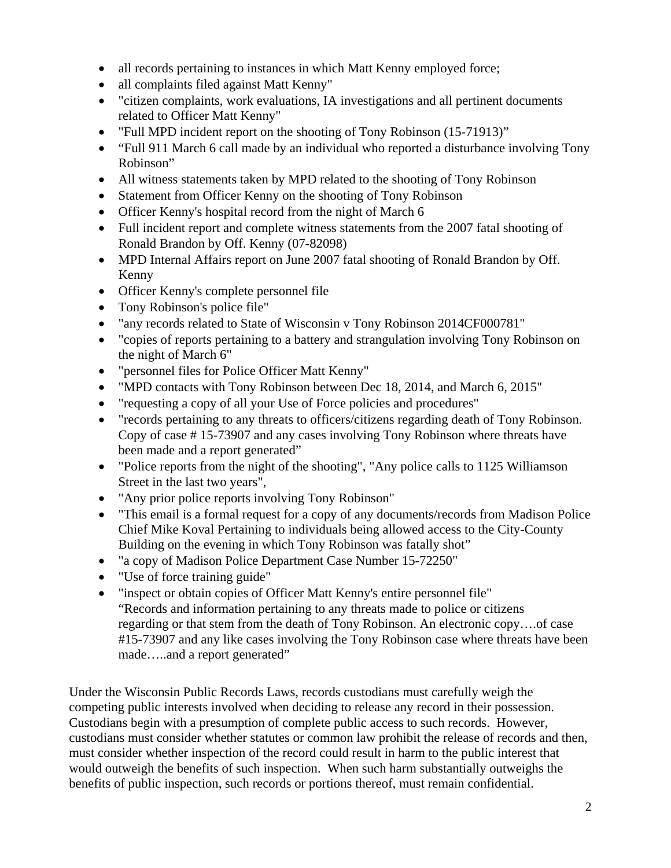- all records pertaining to instances in which Matt Kenny employed force;
- all complaints filed against Matt Kenny"
- "citizen complaints, work evaluations, IA investigations and all pertinent documents related to Officer Matt Kenny"
- "Full MPD incident report on the shooting of Tony Robinson (15-71913)"
- "Full 911 March 6 call made by an individual who reported a disturbance involving Tony Robinson"
- All witness statements taken by MPD related to the shooting of Tony Robinson
- Statement from Officer Kenny on the shooting of Tony Robinson
- Officer Kenny's hospital record from the night of March 6
- Full incident report and complete witness statements from the 2007 fatal shooting of Ronald Brandon by Off. Kenny (07-82098)
- MPD Internal Affairs report on June 2007 fatal shooting of Ronald Brandon by Off. Kenny
- Officer Kenny's complete personnel file
- Tony Robinson's police file"
- "any records related to State of Wisconsin v Tony Robinson 2014CF000781"
- "copies of reports pertaining to a battery and strangulation involving Tony Robinson on the night of March 6"
- "personnel files for Police Officer Matt Kenny"
- "MPD contacts with Tony Robinson between Dec 18, 2014, and March 6, 2015"
- "requesting a copy of all your Use of Force policies and procedures"
- "records pertaining to any threats to officers/citizens regarding death of Tony Robinson. Copy of case # 15-73907 and any cases involving Tony Robinson where threats have been made and a report generated"
- "Police reports from the night of the shooting", "Any police calls to 1125 Williamson Street in the last two years",
- "Any prior police reports involving Tony Robinson"
- "This email is a formal request for a copy of any documents/records from Madison Police Chief Mike Koval Pertaining to individuals being allowed access to the City-County Building on the evening in which Tony Robinson was fatally shot"
- "a copy of Madison Police Department Case Number 15-72250"
- "Use of force training guide"
- "inspect or obtain copies of Officer Matt Kenny's entire personnel file" "Records and information pertaining to any threats made to police or citizens regarding or that stem from the death of Tony Robinson. An electronic copy….of case #15-73907 and any like cases involving the Tony Robinson case where threats have been made…..and a report generated"

Under the Wisconsin Public Records Laws, records custodians must carefully weigh the competing public interests involved when deciding to release any record in their possession. Custodians begin with a presumption of complete public access to such records. However, custodians must consider whether statutes or common law prohibit the release of records and then, must consider whether inspection of the record could result in harm to the public interest that would outweigh the benefits of such inspection. When such harm substantially outweighs the benefits of public inspection, such records or portions thereof, must remain confidential.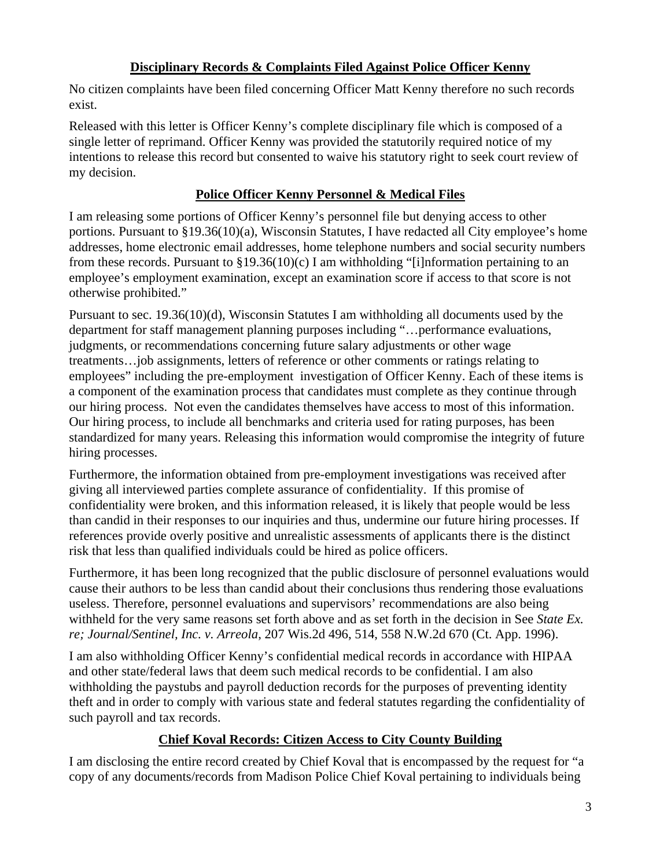# **Disciplinary Records & Complaints Filed Against Police Officer Kenny**

No citizen complaints have been filed concerning Officer Matt Kenny therefore no such records exist.

Released with this letter is Officer Kenny's complete disciplinary file which is composed of a single letter of reprimand. Officer Kenny was provided the statutorily required notice of my intentions to release this record but consented to waive his statutory right to seek court review of my decision.

### **Police Officer Kenny Personnel & Medical Files**

I am releasing some portions of Officer Kenny's personnel file but denying access to other portions. Pursuant to §19.36(10)(a), Wisconsin Statutes, I have redacted all City employee's home addresses, home electronic email addresses, home telephone numbers and social security numbers from these records. Pursuant to  $\S 19.36(10)(c)$  I am withholding "[i]nformation pertaining to an employee's employment examination, except an examination score if access to that score is not otherwise prohibited."

Pursuant to sec. 19.36(10)(d), Wisconsin Statutes I am withholding all documents used by the department for staff management planning purposes including "…performance evaluations, judgments, or recommendations concerning future salary adjustments or other wage treatments…job assignments, letters of reference or other comments or ratings relating to employees" including the pre-employment investigation of Officer Kenny. Each of these items is a component of the examination process that candidates must complete as they continue through our hiring process. Not even the candidates themselves have access to most of this information. Our hiring process, to include all benchmarks and criteria used for rating purposes, has been standardized for many years. Releasing this information would compromise the integrity of future hiring processes.

Furthermore, the information obtained from pre-employment investigations was received after giving all interviewed parties complete assurance of confidentiality. If this promise of confidentiality were broken, and this information released, it is likely that people would be less than candid in their responses to our inquiries and thus, undermine our future hiring processes. If references provide overly positive and unrealistic assessments of applicants there is the distinct risk that less than qualified individuals could be hired as police officers.

Furthermore, it has been long recognized that the public disclosure of personnel evaluations would cause their authors to be less than candid about their conclusions thus rendering those evaluations useless. Therefore, personnel evaluations and supervisors' recommendations are also being withheld for the very same reasons set forth above and as set forth in the decision in See *State Ex. re; Journal/Sentinel, Inc. v. Arreola*, 207 Wis.2d 496, 514, 558 N.W.2d 670 (Ct. App. 1996).

I am also withholding Officer Kenny's confidential medical records in accordance with HIPAA and other state/federal laws that deem such medical records to be confidential. I am also withholding the paystubs and payroll deduction records for the purposes of preventing identity theft and in order to comply with various state and federal statutes regarding the confidentiality of such payroll and tax records.

# **Chief Koval Records: Citizen Access to City County Building**

I am disclosing the entire record created by Chief Koval that is encompassed by the request for "a copy of any documents/records from Madison Police Chief Koval pertaining to individuals being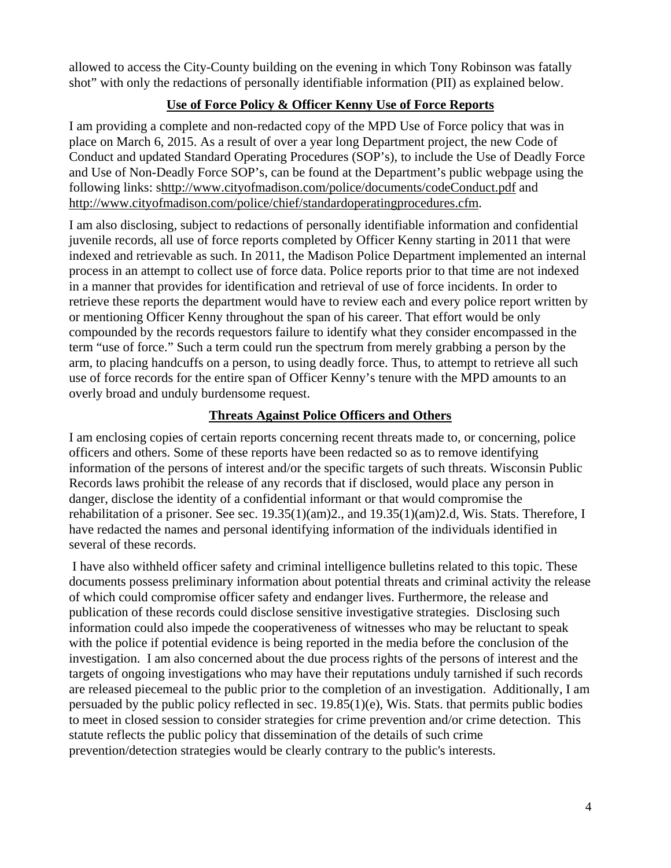allowed to access the City-County building on the evening in which Tony Robinson was fatally shot" with only the redactions of personally identifiable information (PII) as explained below.

# **Use of Force Policy & Officer Kenny Use of Force Reports**

I am providing a complete and non-redacted copy of the MPD Use of Force policy that was in place on March 6, 2015. As a result of over a year long Department project, the new Code of Conduct and updated Standard Operating Procedures (SOP's), to include the Use of Deadly Force and Use of Non-Deadly Force SOP's, can be found at the Department's public webpage using the following links: shttp://www.cityofmadison.com/police/documents/codeConduct.pdf and http://www.cityofmadison.com/police/chief/standardoperatingprocedures.cfm.

I am also disclosing, subject to redactions of personally identifiable information and confidential juvenile records, all use of force reports completed by Officer Kenny starting in 2011 that were indexed and retrievable as such. In 2011, the Madison Police Department implemented an internal process in an attempt to collect use of force data. Police reports prior to that time are not indexed in a manner that provides for identification and retrieval of use of force incidents. In order to retrieve these reports the department would have to review each and every police report written by or mentioning Officer Kenny throughout the span of his career. That effort would be only compounded by the records requestors failure to identify what they consider encompassed in the term "use of force." Such a term could run the spectrum from merely grabbing a person by the arm, to placing handcuffs on a person, to using deadly force. Thus, to attempt to retrieve all such use of force records for the entire span of Officer Kenny's tenure with the MPD amounts to an overly broad and unduly burdensome request.

# **Threats Against Police Officers and Others**

I am enclosing copies of certain reports concerning recent threats made to, or concerning, police officers and others. Some of these reports have been redacted so as to remove identifying information of the persons of interest and/or the specific targets of such threats. Wisconsin Public Records laws prohibit the release of any records that if disclosed, would place any person in danger, disclose the identity of a confidential informant or that would compromise the rehabilitation of a prisoner. See sec. 19.35(1)(am)2., and 19.35(1)(am)2.d, Wis. Stats. Therefore, I have redacted the names and personal identifying information of the individuals identified in several of these records.

 I have also withheld officer safety and criminal intelligence bulletins related to this topic. These documents possess preliminary information about potential threats and criminal activity the release of which could compromise officer safety and endanger lives. Furthermore, the release and publication of these records could disclose sensitive investigative strategies. Disclosing such information could also impede the cooperativeness of witnesses who may be reluctant to speak with the police if potential evidence is being reported in the media before the conclusion of the investigation. I am also concerned about the due process rights of the persons of interest and the targets of ongoing investigations who may have their reputations unduly tarnished if such records are released piecemeal to the public prior to the completion of an investigation. Additionally, I am persuaded by the public policy reflected in sec. 19.85(1)(e), Wis. Stats. that permits public bodies to meet in closed session to consider strategies for crime prevention and/or crime detection. This statute reflects the public policy that dissemination of the details of such crime prevention/detection strategies would be clearly contrary to the public's interests.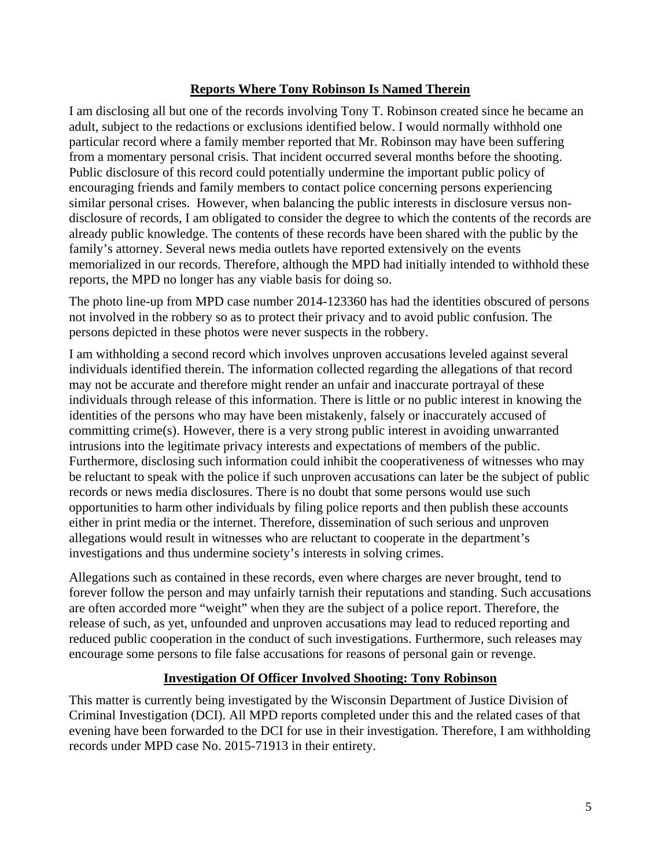#### **Reports Where Tony Robinson Is Named Therein**

I am disclosing all but one of the records involving Tony T. Robinson created since he became an adult, subject to the redactions or exclusions identified below. I would normally withhold one particular record where a family member reported that Mr. Robinson may have been suffering from a momentary personal crisis. That incident occurred several months before the shooting. Public disclosure of this record could potentially undermine the important public policy of encouraging friends and family members to contact police concerning persons experiencing similar personal crises. However, when balancing the public interests in disclosure versus nondisclosure of records, I am obligated to consider the degree to which the contents of the records are already public knowledge. The contents of these records have been shared with the public by the family's attorney. Several news media outlets have reported extensively on the events memorialized in our records. Therefore, although the MPD had initially intended to withhold these reports, the MPD no longer has any viable basis for doing so.

The photo line-up from MPD case number 2014-123360 has had the identities obscured of persons not involved in the robbery so as to protect their privacy and to avoid public confusion. The persons depicted in these photos were never suspects in the robbery.

I am withholding a second record which involves unproven accusations leveled against several individuals identified therein. The information collected regarding the allegations of that record may not be accurate and therefore might render an unfair and inaccurate portrayal of these individuals through release of this information. There is little or no public interest in knowing the identities of the persons who may have been mistakenly, falsely or inaccurately accused of committing crime(s). However, there is a very strong public interest in avoiding unwarranted intrusions into the legitimate privacy interests and expectations of members of the public. Furthermore, disclosing such information could inhibit the cooperativeness of witnesses who may be reluctant to speak with the police if such unproven accusations can later be the subject of public records or news media disclosures. There is no doubt that some persons would use such opportunities to harm other individuals by filing police reports and then publish these accounts either in print media or the internet. Therefore, dissemination of such serious and unproven allegations would result in witnesses who are reluctant to cooperate in the department's investigations and thus undermine society's interests in solving crimes.

Allegations such as contained in these records, even where charges are never brought, tend to forever follow the person and may unfairly tarnish their reputations and standing. Such accusations are often accorded more "weight" when they are the subject of a police report. Therefore, the release of such, as yet, unfounded and unproven accusations may lead to reduced reporting and reduced public cooperation in the conduct of such investigations. Furthermore, such releases may encourage some persons to file false accusations for reasons of personal gain or revenge.

#### **Investigation Of Officer Involved Shooting: Tony Robinson**

This matter is currently being investigated by the Wisconsin Department of Justice Division of Criminal Investigation (DCI). All MPD reports completed under this and the related cases of that evening have been forwarded to the DCI for use in their investigation. Therefore, I am withholding records under MPD case No. 2015-71913 in their entirety.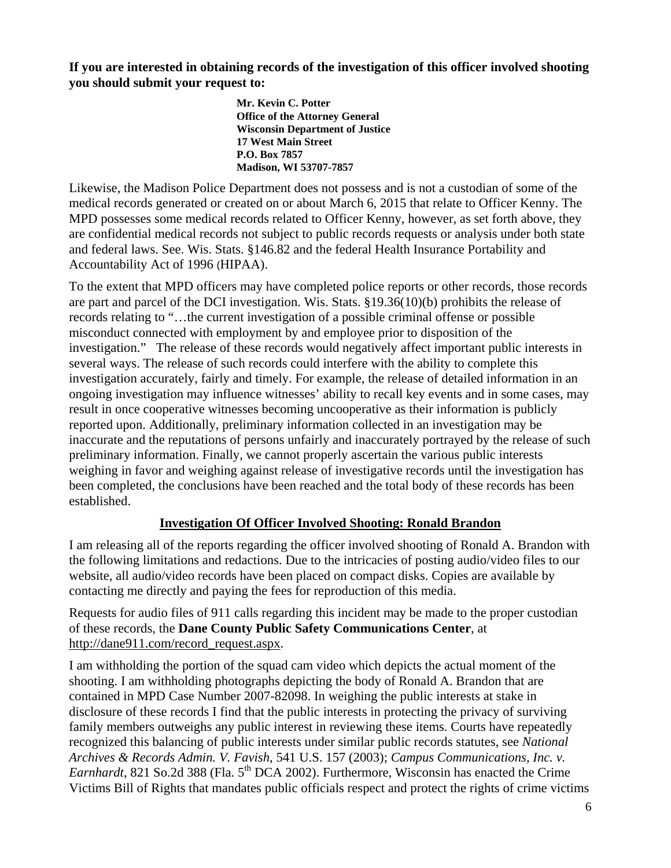**If you are interested in obtaining records of the investigation of this officer involved shooting you should submit your request to:** 

> **Mr. Kevin C. Potter Office of the Attorney General Wisconsin Department of Justice 17 West Main Street P.O. Box 7857 Madison, WI 53707-7857**

Likewise, the Madison Police Department does not possess and is not a custodian of some of the medical records generated or created on or about March 6, 2015 that relate to Officer Kenny. The MPD possesses some medical records related to Officer Kenny, however, as set forth above, they are confidential medical records not subject to public records requests or analysis under both state and federal laws. See. Wis. Stats. §146.82 and the federal Health Insurance Portability and Accountability Act of 1996 (HIPAA).

To the extent that MPD officers may have completed police reports or other records, those records are part and parcel of the DCI investigation. Wis. Stats. §19.36(10)(b) prohibits the release of records relating to "…the current investigation of a possible criminal offense or possible misconduct connected with employment by and employee prior to disposition of the investigation." The release of these records would negatively affect important public interests in several ways. The release of such records could interfere with the ability to complete this investigation accurately, fairly and timely. For example, the release of detailed information in an ongoing investigation may influence witnesses' ability to recall key events and in some cases, may result in once cooperative witnesses becoming uncooperative as their information is publicly reported upon. Additionally, preliminary information collected in an investigation may be inaccurate and the reputations of persons unfairly and inaccurately portrayed by the release of such preliminary information. Finally, we cannot properly ascertain the various public interests weighing in favor and weighing against release of investigative records until the investigation has been completed, the conclusions have been reached and the total body of these records has been established.

# **Investigation Of Officer Involved Shooting: Ronald Brandon**

I am releasing all of the reports regarding the officer involved shooting of Ronald A. Brandon with the following limitations and redactions. Due to the intricacies of posting audio/video files to our website, all audio/video records have been placed on compact disks. Copies are available by contacting me directly and paying the fees for reproduction of this media.

Requests for audio files of 911 calls regarding this incident may be made to the proper custodian of these records, the **Dane County Public Safety Communications Center**, at http://dane911.com/record\_request.aspx.

I am withholding the portion of the squad cam video which depicts the actual moment of the shooting. I am withholding photographs depicting the body of Ronald A. Brandon that are contained in MPD Case Number 2007-82098. In weighing the public interests at stake in disclosure of these records I find that the public interests in protecting the privacy of surviving family members outweighs any public interest in reviewing these items. Courts have repeatedly recognized this balancing of public interests under similar public records statutes, see *National Archives & Records Admin. V. Favish*, 541 U.S. 157 (2003); *Campus Communications, Inc. v. Earnhardt*, 821 So.2d 388 (Fla.  $5<sup>th</sup>$  DCA 2002). Furthermore, Wisconsin has enacted the Crime Victims Bill of Rights that mandates public officials respect and protect the rights of crime victims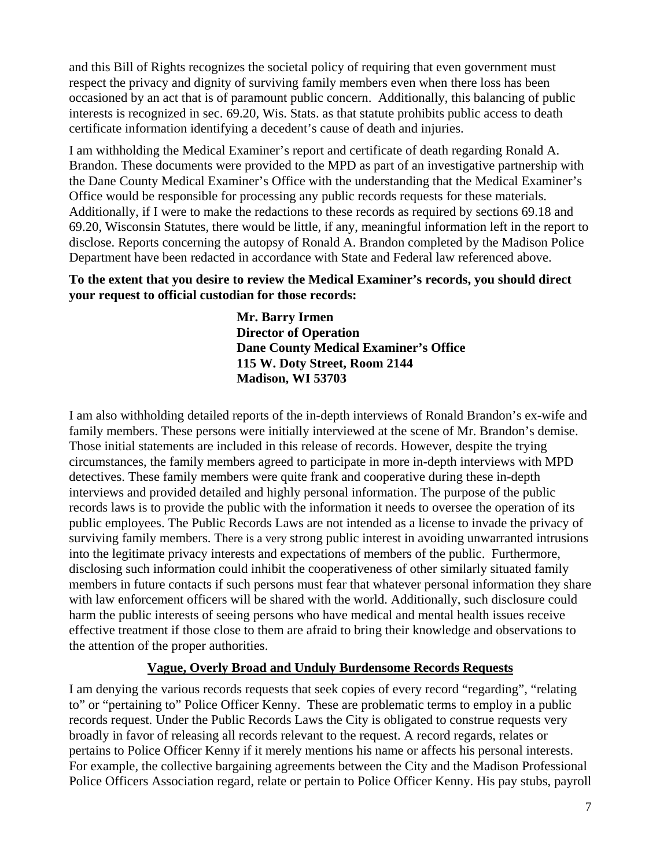and this Bill of Rights recognizes the societal policy of requiring that even government must respect the privacy and dignity of surviving family members even when there loss has been occasioned by an act that is of paramount public concern. Additionally, this balancing of public interests is recognized in sec. 69.20, Wis. Stats. as that statute prohibits public access to death certificate information identifying a decedent's cause of death and injuries.

I am withholding the Medical Examiner's report and certificate of death regarding Ronald A. Brandon. These documents were provided to the MPD as part of an investigative partnership with the Dane County Medical Examiner's Office with the understanding that the Medical Examiner's Office would be responsible for processing any public records requests for these materials. Additionally, if I were to make the redactions to these records as required by sections 69.18 and 69.20, Wisconsin Statutes, there would be little, if any, meaningful information left in the report to disclose. Reports concerning the autopsy of Ronald A. Brandon completed by the Madison Police Department have been redacted in accordance with State and Federal law referenced above.

#### **To the extent that you desire to review the Medical Examiner's records, you should direct your request to official custodian for those records:**

**Mr. Barry Irmen Director of Operation Dane County Medical Examiner's Office 115 W. Doty Street, Room 2144 Madison, WI 53703** 

I am also withholding detailed reports of the in-depth interviews of Ronald Brandon's ex-wife and family members. These persons were initially interviewed at the scene of Mr. Brandon's demise. Those initial statements are included in this release of records. However, despite the trying circumstances, the family members agreed to participate in more in-depth interviews with MPD detectives. These family members were quite frank and cooperative during these in-depth interviews and provided detailed and highly personal information. The purpose of the public records laws is to provide the public with the information it needs to oversee the operation of its public employees. The Public Records Laws are not intended as a license to invade the privacy of surviving family members. There is a very strong public interest in avoiding unwarranted intrusions into the legitimate privacy interests and expectations of members of the public. Furthermore, disclosing such information could inhibit the cooperativeness of other similarly situated family members in future contacts if such persons must fear that whatever personal information they share with law enforcement officers will be shared with the world. Additionally, such disclosure could harm the public interests of seeing persons who have medical and mental health issues receive effective treatment if those close to them are afraid to bring their knowledge and observations to the attention of the proper authorities.

#### **Vague, Overly Broad and Unduly Burdensome Records Requests**

I am denying the various records requests that seek copies of every record "regarding", "relating to" or "pertaining to" Police Officer Kenny. These are problematic terms to employ in a public records request. Under the Public Records Laws the City is obligated to construe requests very broadly in favor of releasing all records relevant to the request. A record regards, relates or pertains to Police Officer Kenny if it merely mentions his name or affects his personal interests. For example, the collective bargaining agreements between the City and the Madison Professional Police Officers Association regard, relate or pertain to Police Officer Kenny. His pay stubs, payroll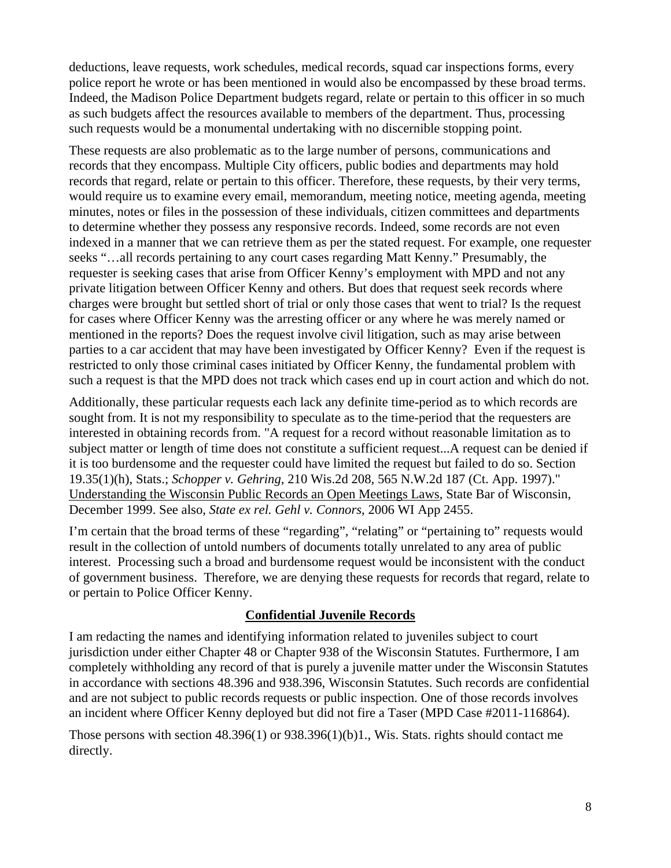deductions, leave requests, work schedules, medical records, squad car inspections forms, every police report he wrote or has been mentioned in would also be encompassed by these broad terms. Indeed, the Madison Police Department budgets regard, relate or pertain to this officer in so much as such budgets affect the resources available to members of the department. Thus, processing such requests would be a monumental undertaking with no discernible stopping point.

These requests are also problematic as to the large number of persons, communications and records that they encompass. Multiple City officers, public bodies and departments may hold records that regard, relate or pertain to this officer. Therefore, these requests, by their very terms, would require us to examine every email, memorandum, meeting notice, meeting agenda, meeting minutes, notes or files in the possession of these individuals, citizen committees and departments to determine whether they possess any responsive records. Indeed, some records are not even indexed in a manner that we can retrieve them as per the stated request. For example, one requester seeks "…all records pertaining to any court cases regarding Matt Kenny." Presumably, the requester is seeking cases that arise from Officer Kenny's employment with MPD and not any private litigation between Officer Kenny and others. But does that request seek records where charges were brought but settled short of trial or only those cases that went to trial? Is the request for cases where Officer Kenny was the arresting officer or any where he was merely named or mentioned in the reports? Does the request involve civil litigation, such as may arise between parties to a car accident that may have been investigated by Officer Kenny? Even if the request is restricted to only those criminal cases initiated by Officer Kenny, the fundamental problem with such a request is that the MPD does not track which cases end up in court action and which do not.

Additionally, these particular requests each lack any definite time**-**period as to which records are sought from. It is not my responsibility to speculate as to the time-period that the requesters are interested in obtaining records from. "A request for a record without reasonable limitation as to subject matter or length of time does not constitute a sufficient request...A request can be denied if it is too burdensome and the requester could have limited the request but failed to do so. Section 19.35(1)(h), Stats.; *Schopper v. Gehring*, 210 Wis.2d 208, 565 N.W.2d 187 (Ct. App. 1997)." Understanding the Wisconsin Public Records an Open Meetings Laws, State Bar of Wisconsin, December 1999. See also, *State ex rel. Gehl v. Connors*, 2006 WI App 2455.

I'm certain that the broad terms of these "regarding", "relating" or "pertaining to" requests would result in the collection of untold numbers of documents totally unrelated to any area of public interest. Processing such a broad and burdensome request would be inconsistent with the conduct of government business. Therefore, we are denying these requests for records that regard, relate to or pertain to Police Officer Kenny.

#### **Confidential Juvenile Records**

I am redacting the names and identifying information related to juveniles subject to court jurisdiction under either Chapter 48 or Chapter 938 of the Wisconsin Statutes. Furthermore, I am completely withholding any record of that is purely a juvenile matter under the Wisconsin Statutes in accordance with sections 48.396 and 938.396, Wisconsin Statutes. Such records are confidential and are not subject to public records requests or public inspection. One of those records involves an incident where Officer Kenny deployed but did not fire a Taser (MPD Case #2011-116864).

Those persons with section 48.396(1) or 938.396(1)(b)1., Wis. Stats. rights should contact me directly.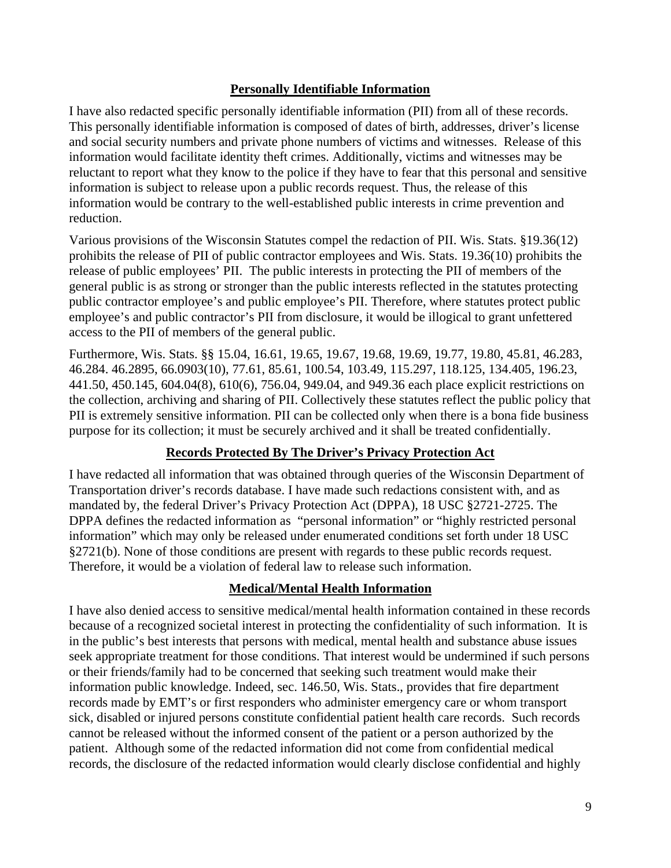#### **Personally Identifiable Information**

I have also redacted specific personally identifiable information (PII) from all of these records. This personally identifiable information is composed of dates of birth, addresses, driver's license and social security numbers and private phone numbers of victims and witnesses. Release of this information would facilitate identity theft crimes. Additionally, victims and witnesses may be reluctant to report what they know to the police if they have to fear that this personal and sensitive information is subject to release upon a public records request. Thus, the release of this information would be contrary to the well-established public interests in crime prevention and reduction.

Various provisions of the Wisconsin Statutes compel the redaction of PII. Wis. Stats. §19.36(12) prohibits the release of PII of public contractor employees and Wis. Stats. 19.36(10) prohibits the release of public employees' PII. The public interests in protecting the PII of members of the general public is as strong or stronger than the public interests reflected in the statutes protecting public contractor employee's and public employee's PII. Therefore, where statutes protect public employee's and public contractor's PII from disclosure, it would be illogical to grant unfettered access to the PII of members of the general public.

Furthermore, Wis. Stats. §§ 15.04, 16.61, 19.65, 19.67, 19.68, 19.69, 19.77, 19.80, 45.81, 46.283, 46.284. 46.2895, 66.0903(10), 77.61, 85.61, 100.54, 103.49, 115.297, 118.125, 134.405, 196.23, 441.50, 450.145, 604.04(8), 610(6), 756.04, 949.04, and 949.36 each place explicit restrictions on the collection, archiving and sharing of PII. Collectively these statutes reflect the public policy that PII is extremely sensitive information. PII can be collected only when there is a bona fide business purpose for its collection; it must be securely archived and it shall be treated confidentially.

#### **Records Protected By The Driver's Privacy Protection Act**

I have redacted all information that was obtained through queries of the Wisconsin Department of Transportation driver's records database. I have made such redactions consistent with, and as mandated by, the federal Driver's Privacy Protection Act (DPPA), 18 USC §2721-2725. The DPPA defines the redacted information as "personal information" or "highly restricted personal information" which may only be released under enumerated conditions set forth under 18 USC §2721(b). None of those conditions are present with regards to these public records request. Therefore, it would be a violation of federal law to release such information.

#### **Medical/Mental Health Information**

I have also denied access to sensitive medical/mental health information contained in these records because of a recognized societal interest in protecting the confidentiality of such information. It is in the public's best interests that persons with medical, mental health and substance abuse issues seek appropriate treatment for those conditions. That interest would be undermined if such persons or their friends/family had to be concerned that seeking such treatment would make their information public knowledge. Indeed, sec. 146.50, Wis. Stats., provides that fire department records made by EMT's or first responders who administer emergency care or whom transport sick, disabled or injured persons constitute confidential patient health care records. Such records cannot be released without the informed consent of the patient or a person authorized by the patient. Although some of the redacted information did not come from confidential medical records, the disclosure of the redacted information would clearly disclose confidential and highly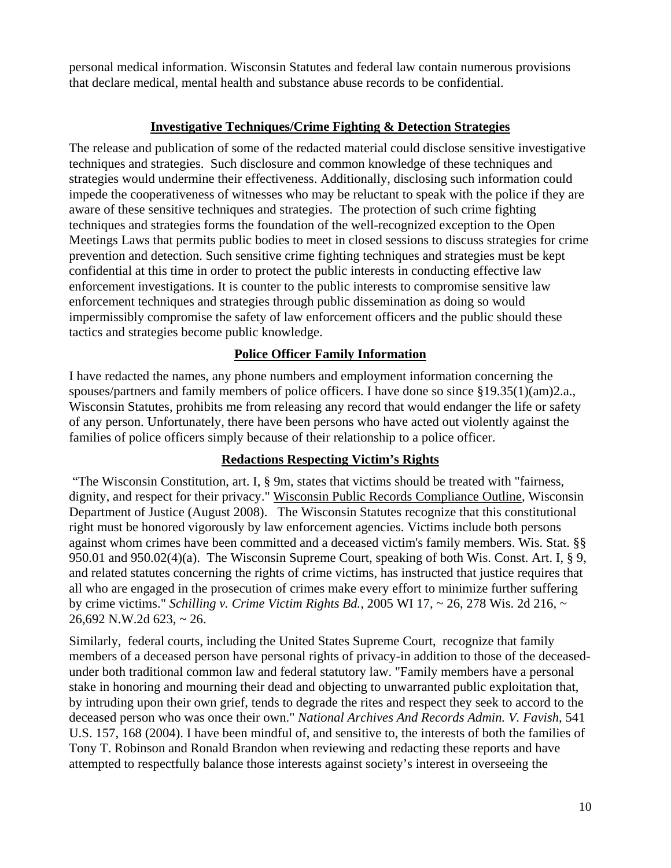personal medical information. Wisconsin Statutes and federal law contain numerous provisions that declare medical, mental health and substance abuse records to be confidential.

#### **Investigative Techniques/Crime Fighting & Detection Strategies**

The release and publication of some of the redacted material could disclose sensitive investigative techniques and strategies. Such disclosure and common knowledge of these techniques and strategies would undermine their effectiveness. Additionally, disclosing such information could impede the cooperativeness of witnesses who may be reluctant to speak with the police if they are aware of these sensitive techniques and strategies. The protection of such crime fighting techniques and strategies forms the foundation of the well-recognized exception to the Open Meetings Laws that permits public bodies to meet in closed sessions to discuss strategies for crime prevention and detection. Such sensitive crime fighting techniques and strategies must be kept confidential at this time in order to protect the public interests in conducting effective law enforcement investigations. It is counter to the public interests to compromise sensitive law enforcement techniques and strategies through public dissemination as doing so would impermissibly compromise the safety of law enforcement officers and the public should these tactics and strategies become public knowledge.

# **Police Officer Family Information**

I have redacted the names, any phone numbers and employment information concerning the spouses/partners and family members of police officers. I have done so since §19.35(1)(am)2.a., Wisconsin Statutes, prohibits me from releasing any record that would endanger the life or safety of any person. Unfortunately, there have been persons who have acted out violently against the families of police officers simply because of their relationship to a police officer.

#### **Redactions Respecting Victim's Rights**

 "The Wisconsin Constitution, art. I, § 9m, states that victims should be treated with "fairness, dignity, and respect for their privacy." Wisconsin Public Records Compliance Outline, Wisconsin Department of Justice (August 2008). The Wisconsin Statutes recognize that this constitutional right must be honored vigorously by law enforcement agencies. Victims include both persons against whom crimes have been committed and a deceased victim's family members. Wis. Stat. §§ 950.01 and 950.02(4)(a). The Wisconsin Supreme Court, speaking of both Wis. Const. Art. I, § 9, and related statutes concerning the rights of crime victims, has instructed that justice requires that all who are engaged in the prosecution of crimes make every effort to minimize further suffering by crime victims." *Schilling v. Crime Victim Rights Bd.,* 2005 WI 17, ~ 26, 278 Wis. 2d 216, ~ 26,692 N.W.2d 623, ~ 26.

Similarly, federal courts, including the United States Supreme Court, recognize that family members of a deceased person have personal rights of privacy-in addition to those of the deceasedunder both traditional common law and federal statutory law. "Family members have a personal stake in honoring and mourning their dead and objecting to unwarranted public exploitation that, by intruding upon their own grief, tends to degrade the rites and respect they seek to accord to the deceased person who was once their own." *National Archives And Records Admin. V. Favish,* 541 U.S. 157, 168 (2004). I have been mindful of, and sensitive to, the interests of both the families of Tony T. Robinson and Ronald Brandon when reviewing and redacting these reports and have attempted to respectfully balance those interests against society's interest in overseeing the